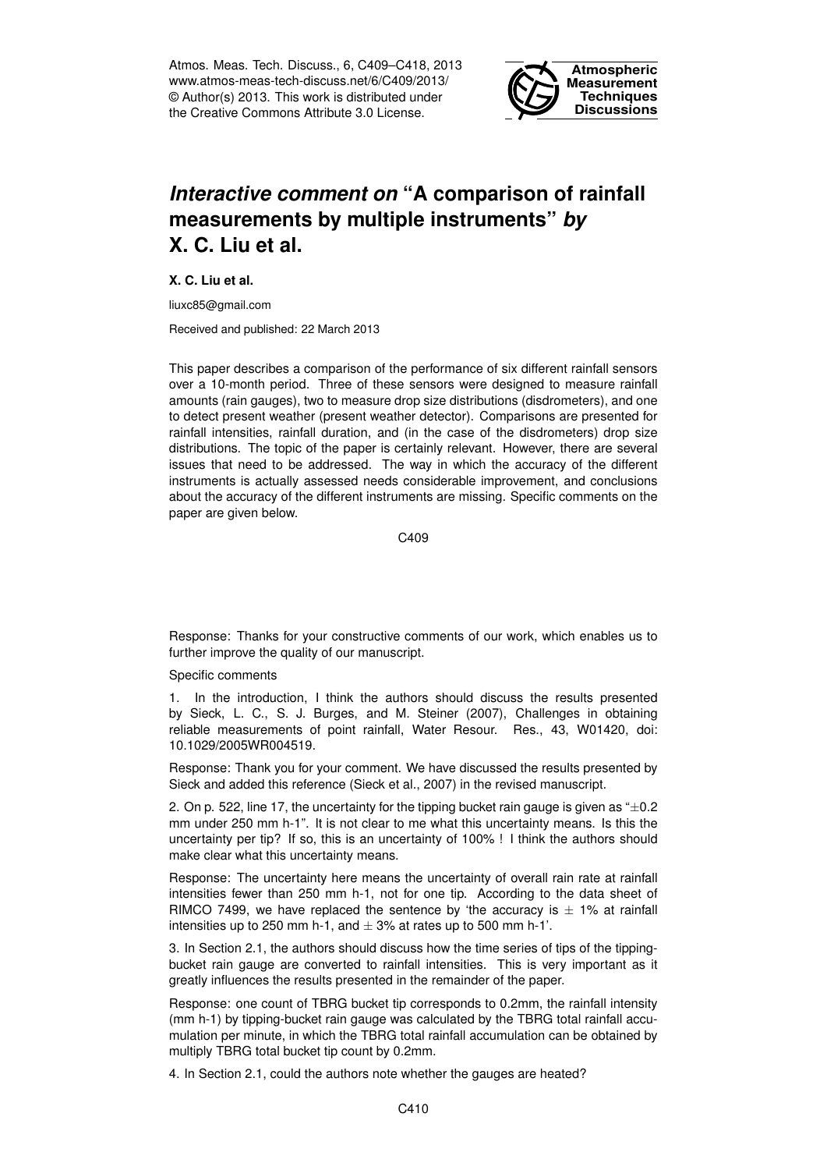Atmos. Meas. Tech. Discuss., 6, C409–C418, 2013 www.atmos-meas-tech-discuss.net/6/C409/2013/ © Author(s) 2013. This work is distributed under the Creative Commons Attribute 3.0 License.



## *Interactive comment on* **"A comparison of rainfall measurements by multiple instruments"** *by* **X. C. Liu et al.**

**X. C. Liu et al.**

liuxc85@gmail.com

Received and published: 22 March 2013

This paper describes a comparison of the performance of six different rainfall sensors over a 10-month period. Three of these sensors were designed to measure rainfall amounts (rain gauges), two to measure drop size distributions (disdrometers), and one to detect present weather (present weather detector). Comparisons are presented for rainfall intensities, rainfall duration, and (in the case of the disdrometers) drop size distributions. The topic of the paper is certainly relevant. However, there are several issues that need to be addressed. The way in which the accuracy of the different instruments is actually assessed needs considerable improvement, and conclusions about the accuracy of the different instruments are missing. Specific comments on the paper are given below.

C409

Response: Thanks for your constructive comments of our work, which enables us to further improve the quality of our manuscript.

Specific comments

1. In the introduction, I think the authors should discuss the results presented by Sieck, L. C., S. J. Burges, and M. Steiner (2007), Challenges in obtaining reliable measurements of point rainfall, Water Resour. Res., 43, W01420, doi: 10.1029/2005WR004519.

Response: Thank you for your comment. We have discussed the results presented by Sieck and added this reference (Sieck et al., 2007) in the revised manuscript.

2. On p. 522, line 17, the uncertainty for the tipping bucket rain gauge is given as  $\pm 0.2$ mm under 250 mm h-1". It is not clear to me what this uncertainty means. Is this the uncertainty per tip? If so, this is an uncertainty of 100% ! I think the authors should make clear what this uncertainty means.

Response: The uncertainty here means the uncertainty of overall rain rate at rainfall intensities fewer than 250 mm h-1, not for one tip. According to the data sheet of RIMCO 7499, we have replaced the sentence by 'the accuracy is  $\pm$  1% at rainfall intensities up to 250 mm h-1, and  $\pm$  3% at rates up to 500 mm h-1'.

3. In Section 2.1, the authors should discuss how the time series of tips of the tippingbucket rain gauge are converted to rainfall intensities. This is very important as it greatly influences the results presented in the remainder of the paper.

Response: one count of TBRG bucket tip corresponds to 0.2mm, the rainfall intensity (mm h-1) by tipping-bucket rain gauge was calculated by the TBRG total rainfall accumulation per minute, in which the TBRG total rainfall accumulation can be obtained by multiply TBRG total bucket tip count by 0.2mm.

4. In Section 2.1, could the authors note whether the gauges are heated?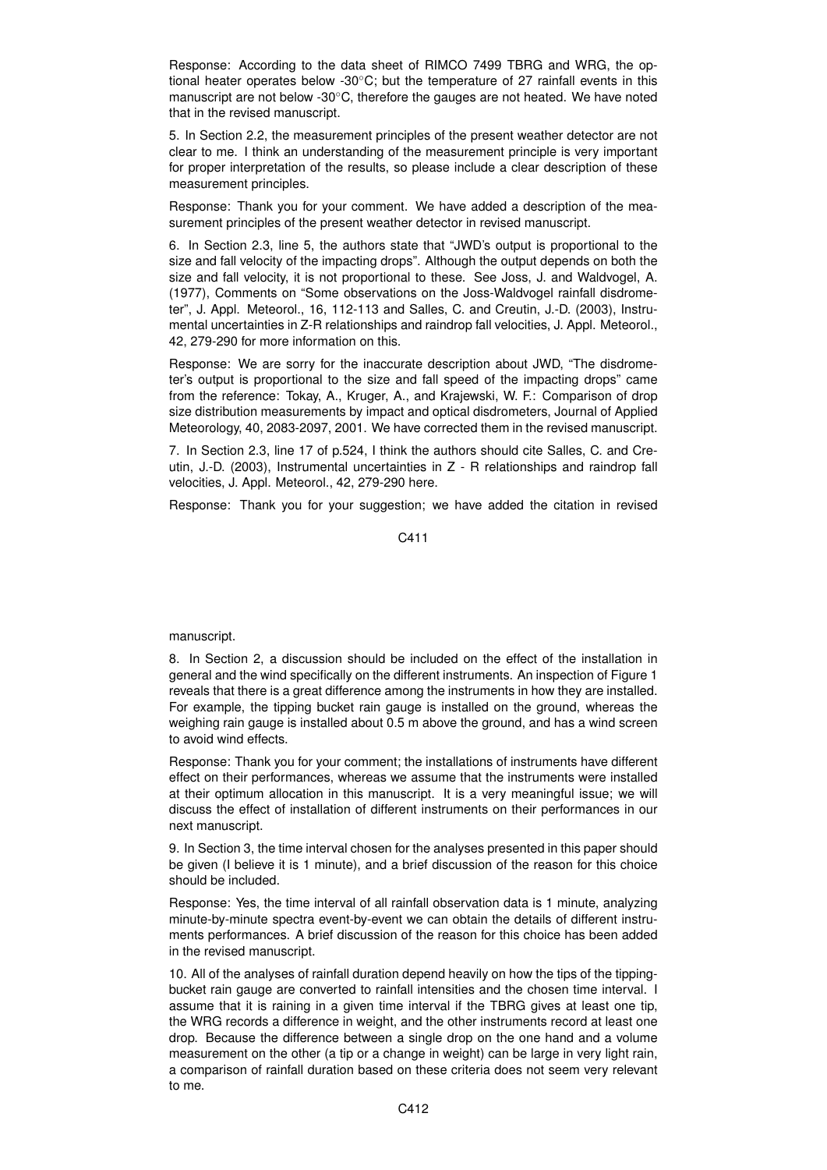Response: According to the data sheet of RIMCO 7499 TBRG and WRG, the optional heater operates below -30◦C; but the temperature of 27 rainfall events in this manuscript are not below -30◦C, therefore the gauges are not heated. We have noted that in the revised manuscript.

5. In Section 2.2, the measurement principles of the present weather detector are not clear to me. I think an understanding of the measurement principle is very important for proper interpretation of the results, so please include a clear description of these measurement principles.

Response: Thank you for your comment. We have added a description of the measurement principles of the present weather detector in revised manuscript.

6. In Section 2.3, line 5, the authors state that "JWD's output is proportional to the size and fall velocity of the impacting drops". Although the output depends on both the size and fall velocity, it is not proportional to these. See Joss, J. and Waldvogel, A. (1977), Comments on "Some observations on the Joss-Waldvogel rainfall disdrometer", J. Appl. Meteorol., 16, 112-113 and Salles, C. and Creutin, J.-D. (2003), Instrumental uncertainties in Z-R relationships and raindrop fall velocities, J. Appl. Meteorol., 42, 279-290 for more information on this.

Response: We are sorry for the inaccurate description about JWD, "The disdrometer's output is proportional to the size and fall speed of the impacting drops" came from the reference: Tokay, A., Kruger, A., and Krajewski, W. F.: Comparison of drop size distribution measurements by impact and optical disdrometers, Journal of Applied Meteorology, 40, 2083-2097, 2001. We have corrected them in the revised manuscript.

7. In Section 2.3, line 17 of p.524, I think the authors should cite Salles, C. and Creutin, J.-D. (2003), Instrumental uncertainties in Z - R relationships and raindrop fall velocities, J. Appl. Meteorol., 42, 279-290 here.

Response: Thank you for your suggestion; we have added the citation in revised

C411

## manuscript.

8. In Section 2, a discussion should be included on the effect of the installation in general and the wind specifically on the different instruments. An inspection of Figure 1 reveals that there is a great difference among the instruments in how they are installed. For example, the tipping bucket rain gauge is installed on the ground, whereas the weighing rain gauge is installed about 0.5 m above the ground, and has a wind screen to avoid wind effects.

Response: Thank you for your comment; the installations of instruments have different effect on their performances, whereas we assume that the instruments were installed at their optimum allocation in this manuscript. It is a very meaningful issue; we will discuss the effect of installation of different instruments on their performances in our next manuscript.

9. In Section 3, the time interval chosen for the analyses presented in this paper should be given (I believe it is 1 minute), and a brief discussion of the reason for this choice should be included.

Response: Yes, the time interval of all rainfall observation data is 1 minute, analyzing minute-by-minute spectra event-by-event we can obtain the details of different instruments performances. A brief discussion of the reason for this choice has been added in the revised manuscript.

10. All of the analyses of rainfall duration depend heavily on how the tips of the tippingbucket rain gauge are converted to rainfall intensities and the chosen time interval. I assume that it is raining in a given time interval if the TBRG gives at least one tip, the WRG records a difference in weight, and the other instruments record at least one drop. Because the difference between a single drop on the one hand and a volume measurement on the other (a tip or a change in weight) can be large in very light rain, a comparison of rainfall duration based on these criteria does not seem very relevant to me.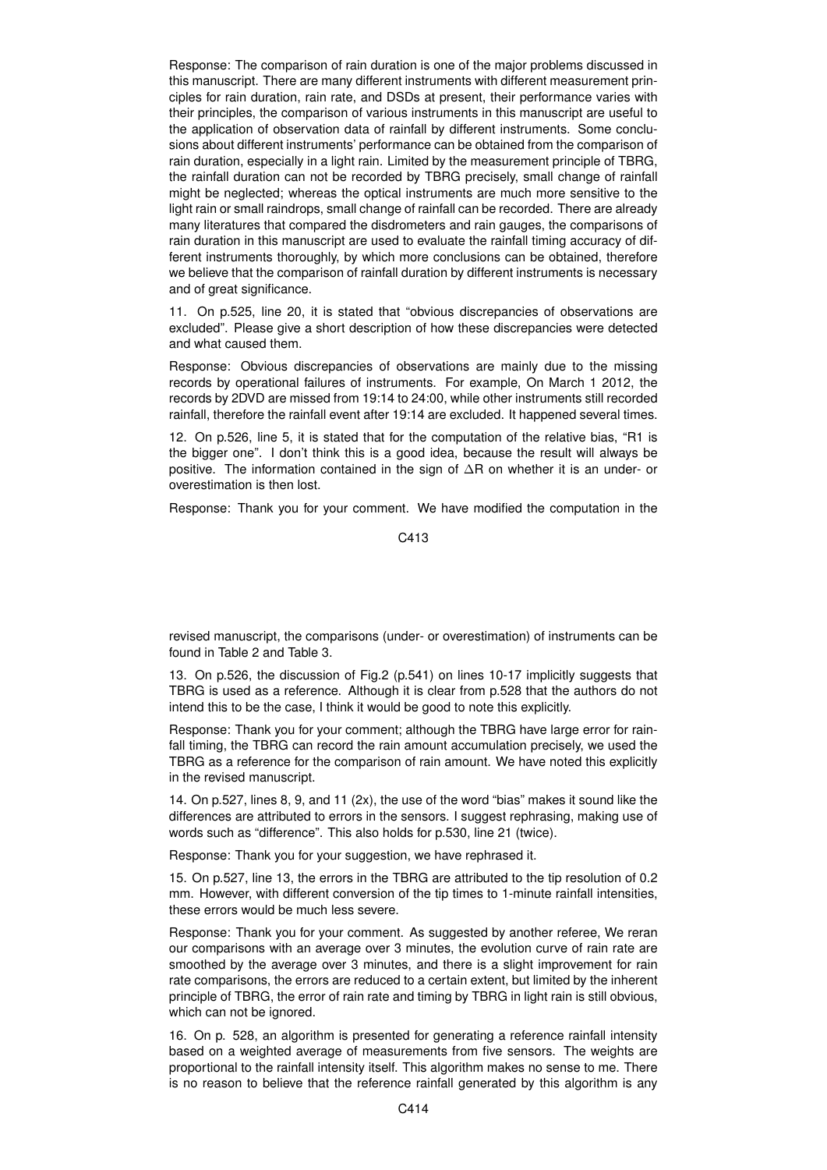Response: The comparison of rain duration is one of the major problems discussed in this manuscript. There are many different instruments with different measurement principles for rain duration, rain rate, and DSDs at present, their performance varies with their principles, the comparison of various instruments in this manuscript are useful to the application of observation data of rainfall by different instruments. Some conclusions about different instruments' performance can be obtained from the comparison of rain duration, especially in a light rain. Limited by the measurement principle of TBRG, the rainfall duration can not be recorded by TBRG precisely, small change of rainfall might be neglected; whereas the optical instruments are much more sensitive to the light rain or small raindrops, small change of rainfall can be recorded. There are already many literatures that compared the disdrometers and rain gauges, the comparisons of rain duration in this manuscript are used to evaluate the rainfall timing accuracy of different instruments thoroughly, by which more conclusions can be obtained, therefore we believe that the comparison of rainfall duration by different instruments is necessary and of great significance.

11. On p.525, line 20, it is stated that "obvious discrepancies of observations are excluded". Please give a short description of how these discrepancies were detected and what caused them.

Response: Obvious discrepancies of observations are mainly due to the missing records by operational failures of instruments. For example, On March 1 2012, the records by 2DVD are missed from 19:14 to 24:00, while other instruments still recorded rainfall, therefore the rainfall event after 19:14 are excluded. It happened several times.

12. On p.526, line 5, it is stated that for the computation of the relative bias, "R1 is the bigger one". I don't think this is a good idea, because the result will always be positive. The information contained in the sign of ∆R on whether it is an under- or overestimation is then lost.

Response: Thank you for your comment. We have modified the computation in the

C413

revised manuscript, the comparisons (under- or overestimation) of instruments can be found in Table 2 and Table 3.

13. On p.526, the discussion of Fig.2 (p.541) on lines 10-17 implicitly suggests that TBRG is used as a reference. Although it is clear from p.528 that the authors do not intend this to be the case, I think it would be good to note this explicitly.

Response: Thank you for your comment; although the TBRG have large error for rainfall timing, the TBRG can record the rain amount accumulation precisely, we used the TBRG as a reference for the comparison of rain amount. We have noted this explicitly in the revised manuscript.

14. On p.527, lines 8, 9, and 11 (2x), the use of the word "bias" makes it sound like the differences are attributed to errors in the sensors. I suggest rephrasing, making use of words such as "difference". This also holds for p.530, line 21 (twice).

Response: Thank you for your suggestion, we have rephrased it.

15. On p.527, line 13, the errors in the TBRG are attributed to the tip resolution of 0.2 mm. However, with different conversion of the tip times to 1-minute rainfall intensities, these errors would be much less severe.

Response: Thank you for your comment. As suggested by another referee, We reran our comparisons with an average over 3 minutes, the evolution curve of rain rate are smoothed by the average over 3 minutes, and there is a slight improvement for rain rate comparisons, the errors are reduced to a certain extent, but limited by the inherent principle of TBRG, the error of rain rate and timing by TBRG in light rain is still obvious, which can not be ignored.

16. On p. 528, an algorithm is presented for generating a reference rainfall intensity based on a weighted average of measurements from five sensors. The weights are proportional to the rainfall intensity itself. This algorithm makes no sense to me. There is no reason to believe that the reference rainfall generated by this algorithm is any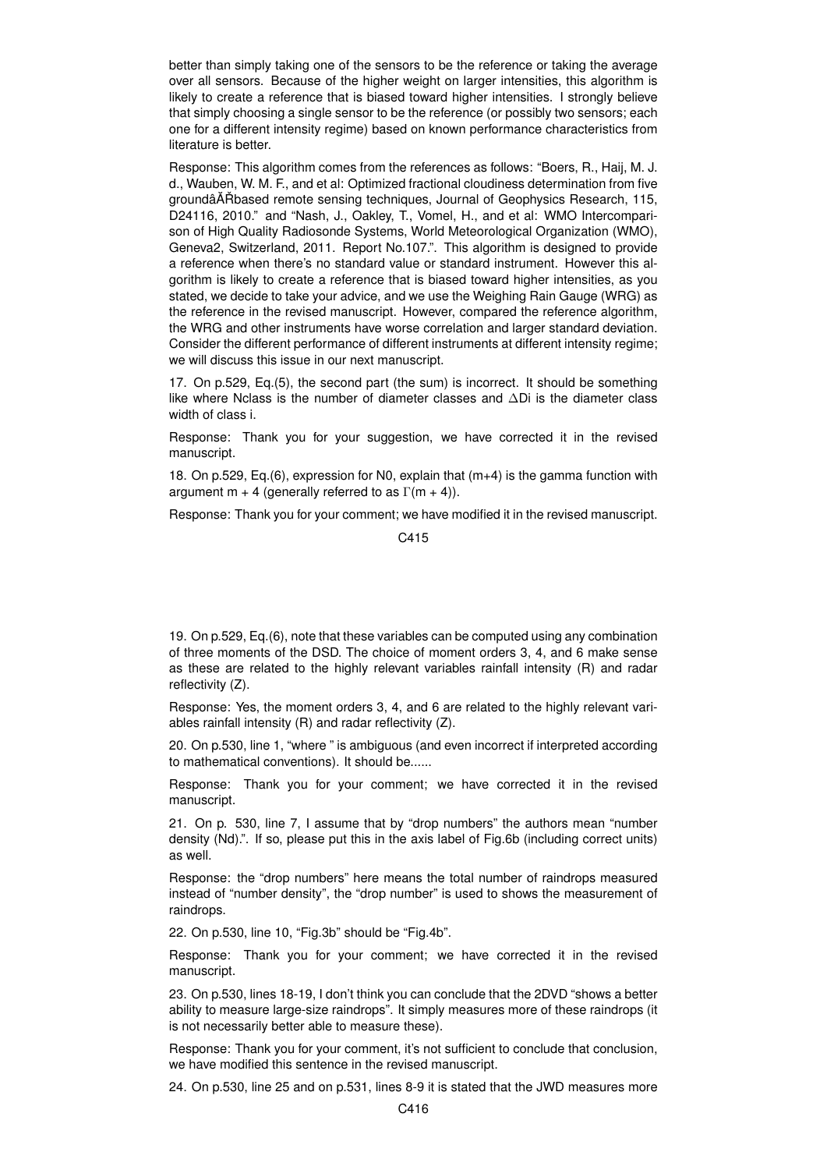better than simply taking one of the sensors to be the reference or taking the average over all sensors. Because of the higher weight on larger intensities, this algorithm is likely to create a reference that is biased toward higher intensities. I strongly believe that simply choosing a single sensor to be the reference (or possibly two sensors; each one for a different intensity regime) based on known performance characteristics from literature is better.

Response: This algorithm comes from the references as follows: "Boers, R., Haij, M. J. d., Wauben, W. M. F., and et al: Optimized fractional cloudiness determination from five groundâAT based remote sensing techniques, Journal of Geophysics Research, 115, D24116, 2010." and "Nash, J., Oakley, T., Vomel, H., and et al: WMO Intercomparison of High Quality Radiosonde Systems, World Meteorological Organization (WMO), Geneva2, Switzerland, 2011. Report No.107.". This algorithm is designed to provide a reference when there's no standard value or standard instrument. However this algorithm is likely to create a reference that is biased toward higher intensities, as you stated, we decide to take your advice, and we use the Weighing Rain Gauge (WRG) as the reference in the revised manuscript. However, compared the reference algorithm, the WRG and other instruments have worse correlation and larger standard deviation. Consider the different performance of different instruments at different intensity regime; we will discuss this issue in our next manuscript.

17. On p.529, Eq.(5), the second part (the sum) is incorrect. It should be something like where Nclass is the number of diameter classes and ∆Di is the diameter class width of class i.

Response: Thank you for your suggestion, we have corrected it in the revised manuscript.

18. On p.529, Eq.(6), expression for N0, explain that (m+4) is the gamma function with argument m + 4 (generally referred to as  $\Gamma(m + 4)$ ).

Response: Thank you for your comment; we have modified it in the revised manuscript.

C415

19. On p.529, Eq.(6), note that these variables can be computed using any combination of three moments of the DSD. The choice of moment orders 3, 4, and 6 make sense as these are related to the highly relevant variables rainfall intensity (R) and radar reflectivity (Z).

Response: Yes, the moment orders 3, 4, and 6 are related to the highly relevant variables rainfall intensity (R) and radar reflectivity (Z).

20. On p.530, line 1, "where " is ambiguous (and even incorrect if interpreted according to mathematical conventions). It should be......

Response: Thank you for your comment; we have corrected it in the revised manuscript.

21. On p. 530, line 7, I assume that by "drop numbers" the authors mean "number density (Nd).". If so, please put this in the axis label of Fig.6b (including correct units) as well.

Response: the "drop numbers" here means the total number of raindrops measured instead of "number density", the "drop number" is used to shows the measurement of raindrops.

22. On p.530, line 10, "Fig.3b" should be "Fig.4b".

Response: Thank you for your comment; we have corrected it in the revised manuscript.

23. On p.530, lines 18-19, I don't think you can conclude that the 2DVD "shows a better ability to measure large-size raindrops". It simply measures more of these raindrops (it is not necessarily better able to measure these).

Response: Thank you for your comment, it's not sufficient to conclude that conclusion, we have modified this sentence in the revised manuscript.

24. On p.530, line 25 and on p.531, lines 8-9 it is stated that the JWD measures more